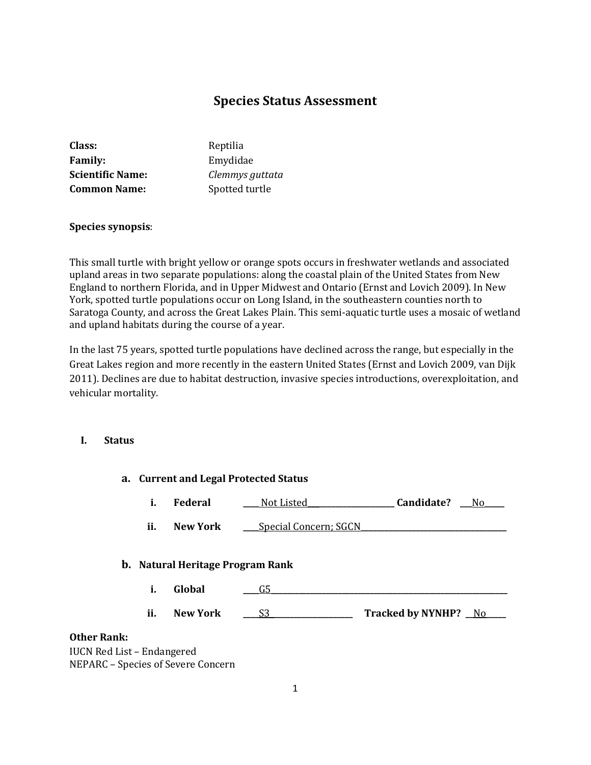# **Species Status Assessment**

| Class:                  | Reptilia        |
|-------------------------|-----------------|
| <b>Family:</b>          | Emydidae        |
| <b>Scientific Name:</b> | Clemmys guttata |
| <b>Common Name:</b>     | Spotted turtle  |

#### **Species synopsis**:

This small turtle with bright yellow or orange spots occurs in freshwater wetlands and associated upland areas in two separate populations: along the coastal plain of the United States from New England to northern Florida, and in Upper Midwest and Ontario (Ernst and Lovich 2009). In New York, spotted turtle populations occur on Long Island, in the southeastern counties north to Saratoga County, and across the Great Lakes Plain. This semi-aquatic turtle uses a mosaic of wetland and upland habitats during the course of a year.

In the last 75 years, spotted turtle populations have declined across the range, but especially in the Great Lakes region and more recently in the eastern United States (Ernst and Lovich 2009, van Dijk 2011). Declines are due to habitat destruction, invasive species introductions, overexploitation, and vehicular mortality.

**a. Current and Legal Protected Status**

#### **I. Status**

|                    | i.  | Federal                                           | Not Listed_                  | Candidate?<br>$N_0$  |
|--------------------|-----|---------------------------------------------------|------------------------------|----------------------|
|                    | ii. | <b>New York</b>                                   | <b>Special Concern; SGCN</b> |                      |
|                    | i.  | <b>b.</b> Natural Heritage Program Rank<br>Global | G5                           |                      |
|                    | ii. | <b>New York</b>                                   | S3                           | Tracked by NYNHP? No |
| <b>Other Rank:</b> |     |                                                   |                              |                      |

IUCN Red List – Endangered NEPARC – Species of Severe Concern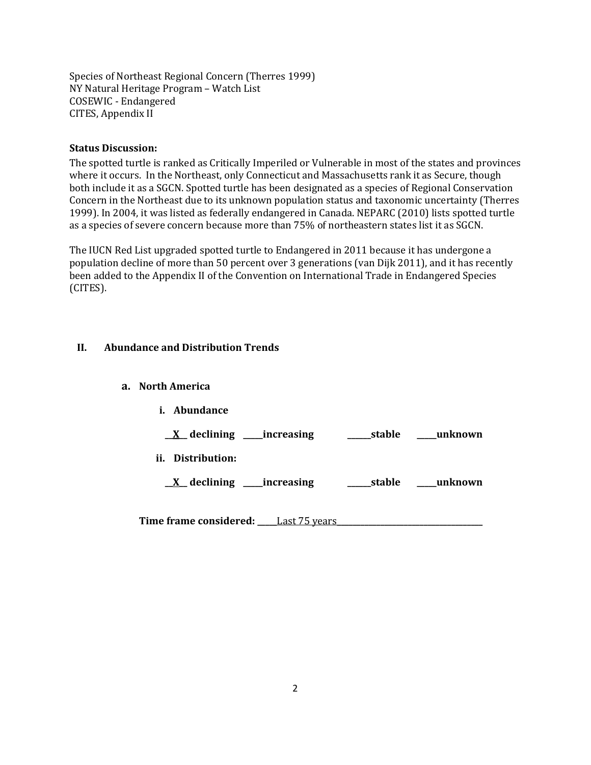Species of Northeast Regional Concern (Therres 1999) NY Natural Heritage Program – Watch List COSEWIC - Endangered CITES, Appendix II

## **Status Discussion:**

The spotted turtle is ranked as Critically Imperiled or Vulnerable in most of the states and provinces where it occurs. In the Northeast, only Connecticut and Massachusetts rank it as Secure, though both include it as a SGCN. Spotted turtle has been designated as a species of Regional Conservation Concern in the Northeast due to its unknown population status and taxonomic uncertainty (Therres 1999). In 2004, it was listed as federally endangered in Canada. NEPARC (2010) lists spotted turtle as a species of severe concern because more than 75% of northeastern states list it as SGCN.

The IUCN Red List upgraded spotted turtle to Endangered in 2011 because it has undergone a population decline of more than 50 percent over 3 generations (van Dijk 2011), and it has recently been added to the Appendix II of the Convention on International Trade in Endangered Species (CITES).

## **II. Abundance and Distribution Trends**

- **a. North America**
	- **i. Abundance \_\_X\_\_ declining \_\_\_\_\_increasing \_\_\_\_\_\_stable \_\_\_\_\_unknown ii. Distribution: \_\_X\_\_ declining \_\_\_\_\_increasing \_\_\_\_\_\_stable \_\_\_\_\_unknown**

**Time frame considered: \_\_\_\_\_**Last 75 years**\_\_\_\_\_\_\_\_\_\_\_\_\_\_\_\_\_\_\_\_\_\_\_\_\_\_\_\_\_\_\_\_\_\_\_\_\_**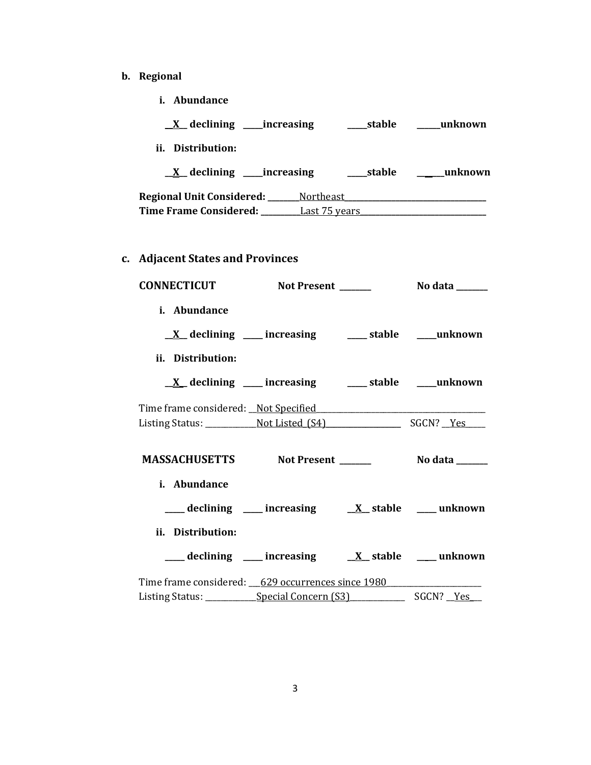- **b. Regional** 
	- **i. Abundance**

| $X$ declining increasing                                       |           | stable        | unknown |
|----------------------------------------------------------------|-----------|---------------|---------|
| Distribution:<br>ii.                                           |           |               |         |
| $\underline{X}$ declining _____increasing                      |           | stable        | unknown |
| Regional Unit Considered: ___<br><b>Time Frame Considered:</b> | Northeast | Last 75 years |         |
|                                                                |           |               |         |

**c. Adjacent States and Provinces**

| <b>CONNECTICUT</b>                                |                                                                                                                         |  |
|---------------------------------------------------|-------------------------------------------------------------------------------------------------------------------------|--|
| i. Abundance                                      |                                                                                                                         |  |
|                                                   | $\underline{X}$ declining ___ increasing ___ stable ___ unknown                                                         |  |
| ii. Distribution:                                 |                                                                                                                         |  |
|                                                   | $\underline{X}$ declining ___ increasing ___ stable ___ unknown                                                         |  |
|                                                   |                                                                                                                         |  |
|                                                   |                                                                                                                         |  |
| MASSACHUSETTS Not Present _______ No data _____   |                                                                                                                         |  |
| i. Abundance<br>ii. Distribution:                 | $\frac{1}{\sqrt{2}}$ declining $\frac{1}{\sqrt{2}}$ increasing $\frac{1}{\sqrt{2}}$ stable $\frac{1}{\sqrt{2}}$ unknown |  |
|                                                   | ___ declining ___ increasing ___ X_ stable ___ unknown                                                                  |  |
| Time frame considered: 629 occurrences since 1980 |                                                                                                                         |  |
|                                                   |                                                                                                                         |  |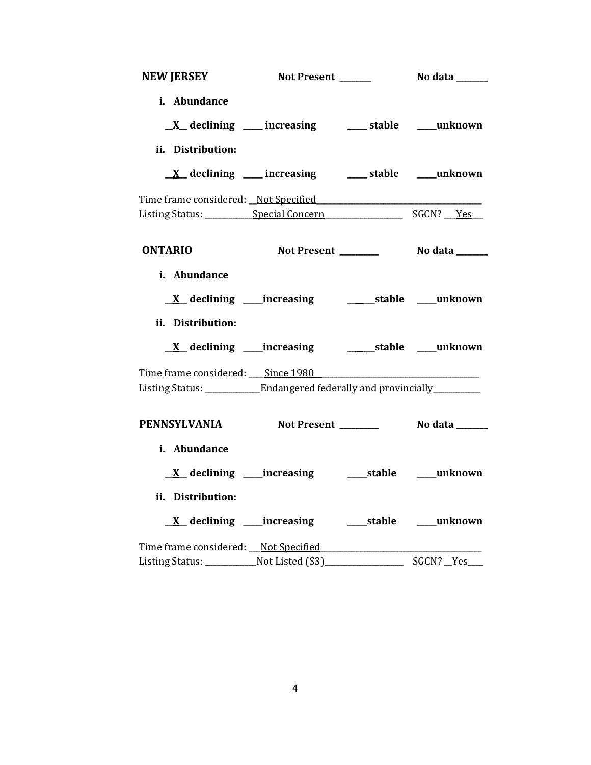| <b>NEW JERSEY</b>                                                 | Not Present ______                                              | No data ______ |
|-------------------------------------------------------------------|-----------------------------------------------------------------|----------------|
| i. Abundance                                                      |                                                                 |                |
|                                                                   | $\underline{X}$ declining ___ increasing ___ stable ___ unknown |                |
| ii. Distribution:                                                 |                                                                 |                |
|                                                                   | $\underline{X}$ declining ___ increasing ___ stable ___ unknown |                |
|                                                                   |                                                                 |                |
|                                                                   |                                                                 |                |
|                                                                   |                                                                 |                |
| <b>ONTARIO</b>                                                    |                                                                 |                |
| i. Abundance                                                      |                                                                 |                |
|                                                                   |                                                                 |                |
|                                                                   |                                                                 |                |
| ii. Distribution:                                                 |                                                                 |                |
|                                                                   | <u>X</u> declining ____increasing ___________stable ____unknown |                |
|                                                                   |                                                                 |                |
| Listing Status: ____________Endangered federally and provincially |                                                                 |                |
|                                                                   |                                                                 |                |
| PENNSYLVANIA Not Present ________ No data ______                  |                                                                 |                |
| i. Abundance                                                      |                                                                 |                |
|                                                                   |                                                                 |                |
| ii. Distribution:                                                 |                                                                 |                |
|                                                                   |                                                                 |                |
| Time frame considered: Not Specified                              |                                                                 |                |
|                                                                   |                                                                 | SGCN? Yes      |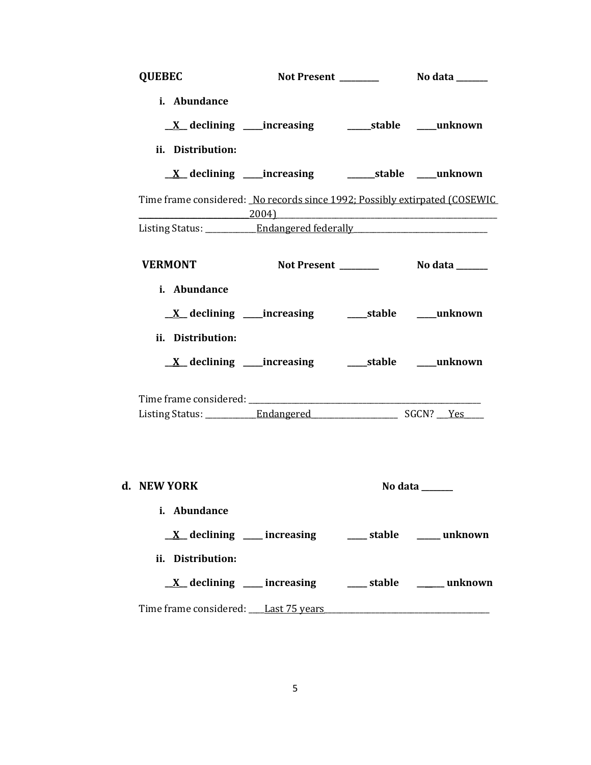| <b>QUEBEC</b>                                                                    |                                                                 |                                     |
|----------------------------------------------------------------------------------|-----------------------------------------------------------------|-------------------------------------|
| i. Abundance                                                                     | <u>X</u> declining ____increasing __________stable _____unknown |                                     |
| ii. Distribution:                                                                | <u>X</u> declining ____increasing ___________stable ____unknown |                                     |
| Time frame considered: No records since 1992; Possibly extirpated (COSEWIC       | $\hspace{.15cm} 2004 \}$                                        |                                     |
| Listing Status: ____________ Endangered federally ______________________________ |                                                                 |                                     |
| <b>VERMONT</b>                                                                   |                                                                 |                                     |
| i. Abundance<br>ii. Distribution:                                                | <u>X</u> declining ____increasing _______stable _____unknown    |                                     |
|                                                                                  | <u>X</u> declining ____increasing ______stable ____unknown      |                                     |
|                                                                                  |                                                                 |                                     |
| d. NEW YORK                                                                      |                                                                 | No data $\_\_\_\_\_\_\_\_\_\_\_\_\$ |
| i. Abundance<br>ii. Distribution:                                                | $\underline{X}$ declining ___ increasing ___ stable ___ unknown |                                     |
|                                                                                  | <u>X</u> declining ___ increasing ___ stable ____ unknown       |                                     |
| Time frame considered: Last 75 years                                             |                                                                 |                                     |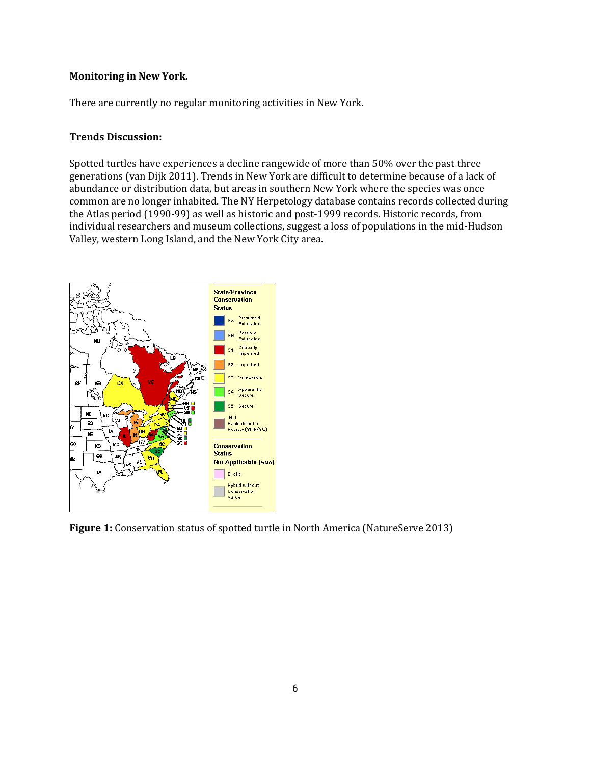#### **Monitoring in New York.**

There are currently no regular monitoring activities in New York.

#### **Trends Discussion:**

Spotted turtles have experiences a decline rangewide of more than 50% over the past three generations (van Dijk 2011). Trends in New York are difficult to determine because of a lack of abundance or distribution data, but areas in southern New York where the species was once common are no longer inhabited. The NY Herpetology database contains records collected during the Atlas period (1990-99) as well as historic and post-1999 records. Historic records, from individual researchers and museum collections, suggest a loss of populations in the mid-Hudson Valley, western Long Island, and the New York City area.



**Figure 1:** Conservation status of spotted turtle in North America (NatureServe 2013)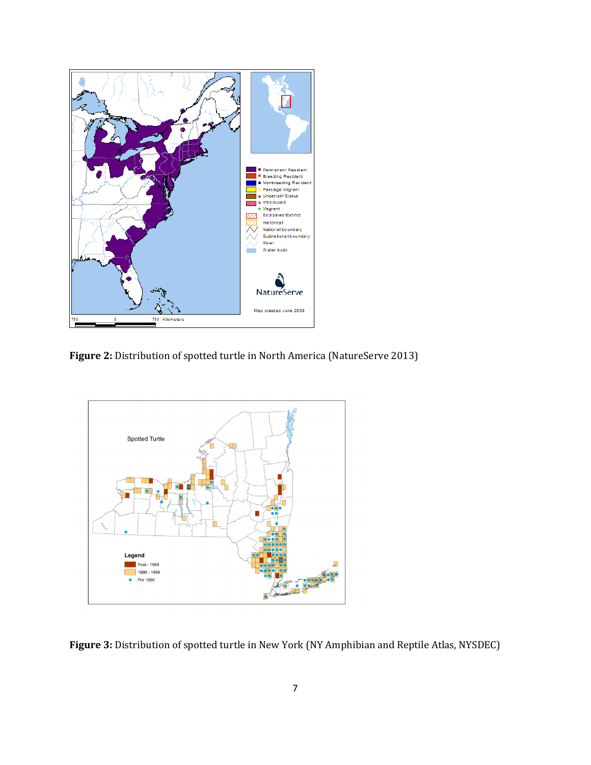

Figure 2: Distribution of spotted turtle in North America (NatureServe 2013)



**Figure 3:** Distribution of spotted turtle in New York (NY Amphibian and Reptile Atlas, NYSDEC)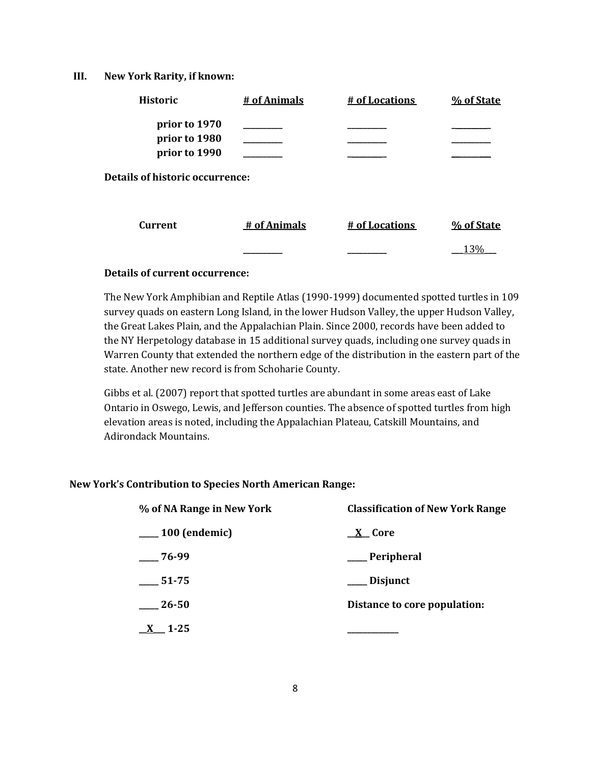#### **III. New York Rarity, if known:**

| <b>Historic</b>                        | # of Animals | # of Locations | % of State |
|----------------------------------------|--------------|----------------|------------|
| prior to 1970<br>prior to 1980         |              |                |            |
| prior to 1990                          |              |                |            |
| <b>Details of historic occurrence:</b> |              |                |            |
| <b>Current</b>                         | # of Animals | # of Locations | % of State |
|                                        |              |                | 130,       |

## **Details of current occurrence:**

The New York Amphibian and Reptile Atlas (1990-1999) documented spotted turtles in 109 survey quads on eastern Long Island, in the lower Hudson Valley, the upper Hudson Valley, the Great Lakes Plain, and the Appalachian Plain. Since 2000, records have been added to the NY Herpetology database in 15 additional survey quads, including one survey quads in Warren County that extended the northern edge of the distribution in the eastern part of the state. Another new record is from Schoharie County.

Gibbs et al. (2007) report that spotted turtles are abundant in some areas east of Lake Ontario in Oswego, Lewis, and Jefferson counties. The absence of spotted turtles from high elevation areas is noted, including the Appalachian Plateau, Catskill Mountains, and Adirondack Mountains.

#### **New York's Contribution to Species North American Range:**

| % of NA Range in New York | <b>Classification of New York Range</b> |  |  |
|---------------------------|-----------------------------------------|--|--|
| $\frac{100}{2}$ (endemic) | <u>X</u> Core                           |  |  |
| $-76-99$                  | __ Peripheral                           |  |  |
| $-51-75$                  | ___ Disjunct                            |  |  |
| 26-50                     | Distance to core population:            |  |  |
| $\underline{X}$ 1-25      |                                         |  |  |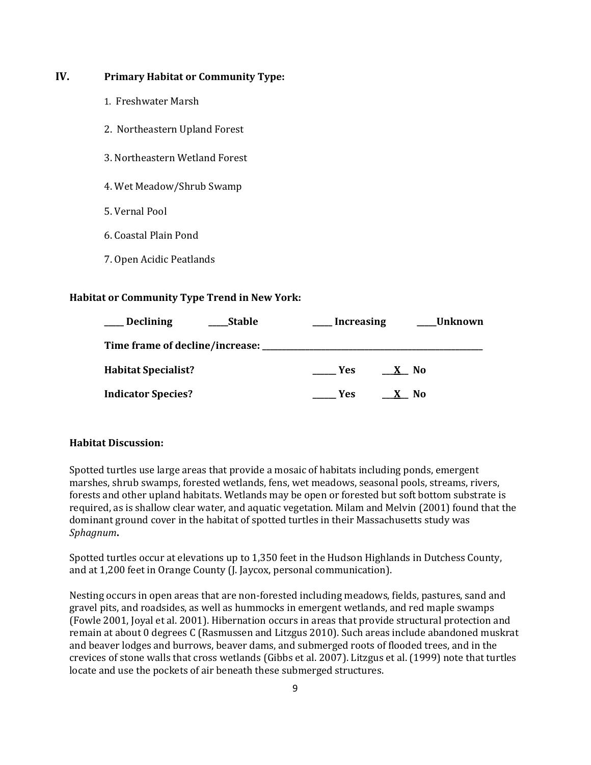# **IV. Primary Habitat or Community Type:**

- 1. Freshwater Marsh
- 2. Northeastern Upland Forest
- 3. Northeastern Wetland Forest
- 4. Wet Meadow/Shrub Swamp
- 5. Vernal Pool
- 6. Coastal Plain Pond
- 7. Open Acidic Peatlands

# **Habitat or Community Type Trend in New York:**

| <b>Declining</b>                  | <b>Stable</b> | <b>Increasing</b> |                           | <b>Unknown</b> |
|-----------------------------------|---------------|-------------------|---------------------------|----------------|
| Time frame of decline/increase: _ |               |                   |                           |                |
| <b>Habitat Specialist?</b>        |               | <b>Yes</b>        | <b>No</b><br>$\mathbf{X}$ |                |
| <b>Indicator Species?</b>         |               | Yes               | No                        |                |

## **Habitat Discussion:**

Spotted turtles use large areas that provide a mosaic of habitats including ponds, emergent marshes, shrub swamps, forested wetlands, fens, wet meadows, seasonal pools, streams, rivers, forests and other upland habitats. Wetlands may be open or forested but soft bottom substrate is required, as is shallow clear water, and aquatic vegetation. Milam and Melvin (2001) found that the dominant ground cover in the habitat of spotted turtles in their Massachusetts study was *Sphagnum***.**

Spotted turtles occur at elevations up to 1,350 feet in the Hudson Highlands in Dutchess County, and at 1,200 feet in Orange County (J. Jaycox, personal communication).

Nesting occurs in open areas that are non-forested including meadows, fields, pastures, sand and gravel pits, and roadsides, as well as hummocks in emergent wetlands, and red maple swamps (Fowle 2001, Joyal et al. 2001). Hibernation occurs in areas that provide structural protection and remain at about 0 degrees C (Rasmussen and Litzgus 2010). Such areas include abandoned muskrat and beaver lodges and burrows, beaver dams, and submerged roots of flooded trees, and in the crevices of stone walls that cross wetlands (Gibbs et al. 2007). Litzgus et al. (1999) note that turtles locate and use the pockets of air beneath these submerged structures.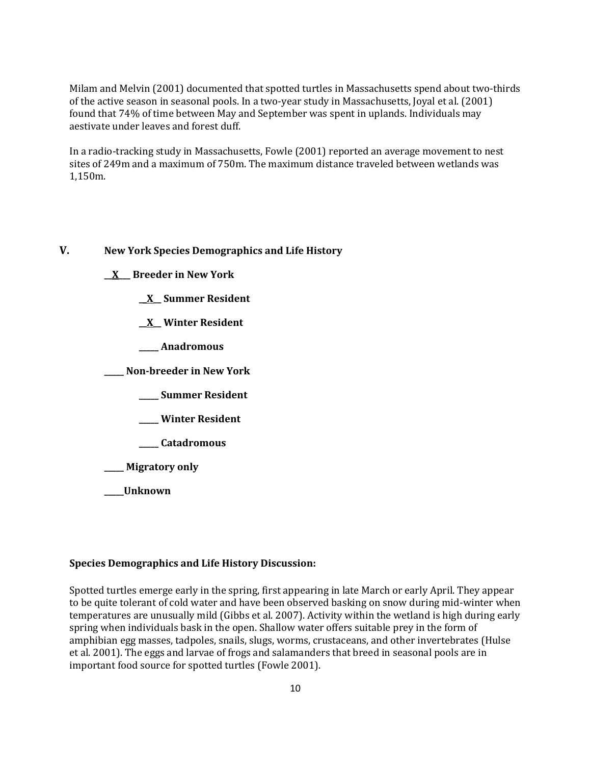Milam and Melvin (2001) documented that spotted turtles in Massachusetts spend about two-thirds of the active season in seasonal pools. In a two-year study in Massachusetts, Joyal et al. (2001) found that 74% of time between May and September was spent in uplands. Individuals may aestivate under leaves and forest duff.

In a radio-tracking study in Massachusetts, Fowle (2001) reported an average movement to nest sites of 249m and a maximum of 750m. The maximum distance traveled between wetlands was 1,150m.

# **V. New York Species Demographics and Life History**

**\_\_X\_\_\_ Breeder in New York**

**\_\_X\_\_ Summer Resident**

**\_\_X\_\_ Winter Resident**

**\_\_\_\_\_ Anadromous**

**\_\_\_\_\_ Non-breeder in New York**

**\_\_\_\_\_ Summer Resident**

**\_\_\_\_\_ Winter Resident**

**\_\_\_\_\_ Catadromous**

**\_\_\_\_\_ Migratory only**

**\_\_\_\_\_Unknown**

## **Species Demographics and Life History Discussion:**

Spotted turtles emerge early in the spring, first appearing in late March or early April. They appear to be quite tolerant of cold water and have been observed basking on snow during mid-winter when temperatures are unusually mild (Gibbs et al. 2007). Activity within the wetland is high during early spring when individuals bask in the open. Shallow water offers suitable prey in the form of amphibian egg masses, tadpoles, snails, slugs, worms, crustaceans, and other invertebrates (Hulse et al. 2001). The eggs and larvae of frogs and salamanders that breed in seasonal pools are in important food source for spotted turtles (Fowle 2001).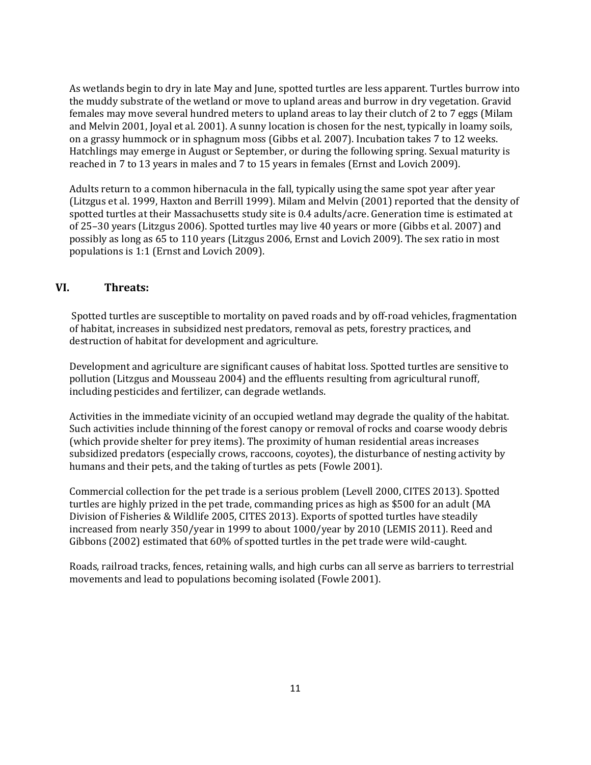As wetlands begin to dry in late May and June, spotted turtles are less apparent. Turtles burrow into the muddy substrate of the wetland or move to upland areas and burrow in dry vegetation. Gravid females may move several hundred meters to upland areas to lay their clutch of 2 to 7 eggs (Milam and Melvin 2001, Joyal et al. 2001). A sunny location is chosen for the nest, typically in loamy soils, on a grassy hummock or in sphagnum moss (Gibbs et al. 2007). Incubation takes 7 to 12 weeks. Hatchlings may emerge in August or September, or during the following spring. Sexual maturity is reached in 7 to 13 years in males and 7 to 15 years in females (Ernst and Lovich 2009).

Adults return to a common hibernacula in the fall, typically using the same spot year after year (Litzgus et al. 1999, Haxton and Berrill 1999). Milam and Melvin (2001) reported that the density of spotted turtles at their Massachusetts study site is 0.4 adults/acre. Generation time is estimated at of 25–30 years (Litzgus 2006). Spotted turtles may live 40 years or more (Gibbs et al. 2007) and possibly as long as 65 to 110 years (Litzgus 2006, Ernst and Lovich 2009). The sex ratio in most populations is 1:1 (Ernst and Lovich 2009).

# **VI. Threats:**

Spotted turtles are susceptible to mortality on paved roads and by off-road vehicles, fragmentation of habitat, increases in subsidized nest predators, removal as pets, forestry practices, and destruction of habitat for development and agriculture.

Development and agriculture are significant causes of habitat loss. Spotted turtles are sensitive to pollution (Litzgus and Mousseau 2004) and the effluents resulting from agricultural runoff, including pesticides and fertilizer, can degrade wetlands.

Activities in the immediate vicinity of an occupied wetland may degrade the quality of the habitat. Such activities include thinning of the forest canopy or removal of rocks and coarse woody debris (which provide shelter for prey items). The proximity of human residential areas increases subsidized predators (especially crows, raccoons, coyotes), the disturbance of nesting activity by humans and their pets, and the taking of turtles as pets (Fowle 2001).

Commercial collection for the pet trade is a serious problem (Levell 2000, CITES 2013). Spotted turtles are highly prized in the pet trade, commanding prices as high as \$500 for an adult (MA Division of Fisheries & Wildlife 2005, CITES 2013). Exports of spotted turtles have steadily increased from nearly 350/year in 1999 to about 1000/year by 2010 (LEMIS 2011). Reed and Gibbons (2002) estimated that 60% of spotted turtles in the pet trade were wild-caught.

Roads, railroad tracks, fences, retaining walls, and high curbs can all serve as barriers to terrestrial movements and lead to populations becoming isolated (Fowle 2001).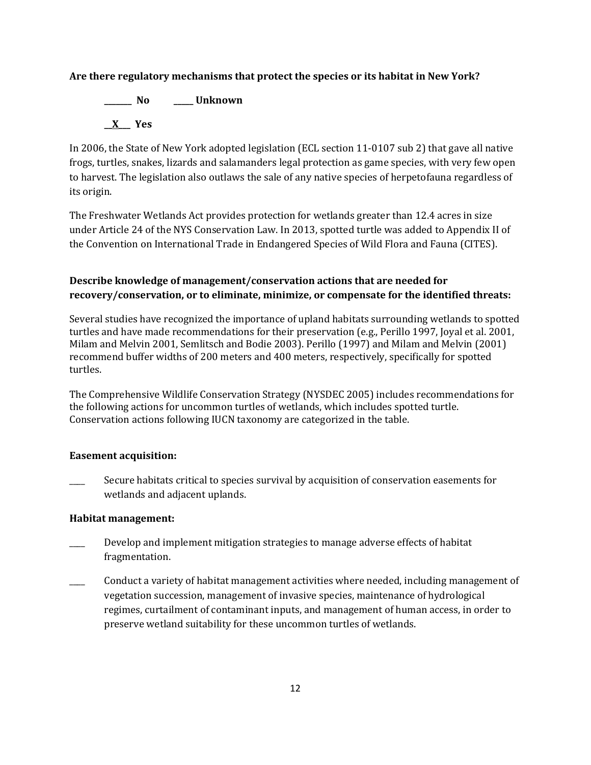# **Are there regulatory mechanisms that protect the species or its habitat in New York?**

**\_\_\_\_\_\_\_ No \_\_\_\_\_ Unknown \_\_X\_\_\_ Yes** 

In 2006, the State of New York adopted legislation (ECL section 11-0107 sub 2) that gave all native frogs, turtles, snakes, lizards and salamanders legal protection as game species, with very few open to harvest. The legislation also outlaws the sale of any native species of herpetofauna regardless of its origin.

The Freshwater Wetlands Act provides protection for wetlands greater than 12.4 acres in size under Article 24 of the NYS Conservation Law. In 2013, spotted turtle was added to Appendix II of the Convention on International Trade in Endangered Species of Wild Flora and Fauna (CITES).

# **Describe knowledge of management/conservation actions that are needed for recovery/conservation, or to eliminate, minimize, or compensate for the identified threats:**

Several studies have recognized the importance of upland habitats surrounding wetlands to spotted turtles and have made recommendations for their preservation (e.g., Perillo 1997, Joyal et al. 2001, Milam and Melvin 2001, Semlitsch and Bodie 2003). Perillo (1997) and Milam and Melvin (2001) recommend buffer widths of 200 meters and 400 meters, respectively, specifically for spotted turtles.

The Comprehensive Wildlife Conservation Strategy (NYSDEC 2005) includes recommendations for the following actions for uncommon turtles of wetlands, which includes spotted turtle. Conservation actions following IUCN taxonomy are categorized in the table.

# **Easement acquisition:**

Secure habitats critical to species survival by acquisition of conservation easements for wetlands and adjacent uplands.

## **Habitat management:**

- Develop and implement mitigation strategies to manage adverse effects of habitat fragmentation.
- \_\_\_\_ Conduct a variety of habitat management activities where needed, including management of vegetation succession, management of invasive species, maintenance of hydrological regimes, curtailment of contaminant inputs, and management of human access, in order to preserve wetland suitability for these uncommon turtles of wetlands.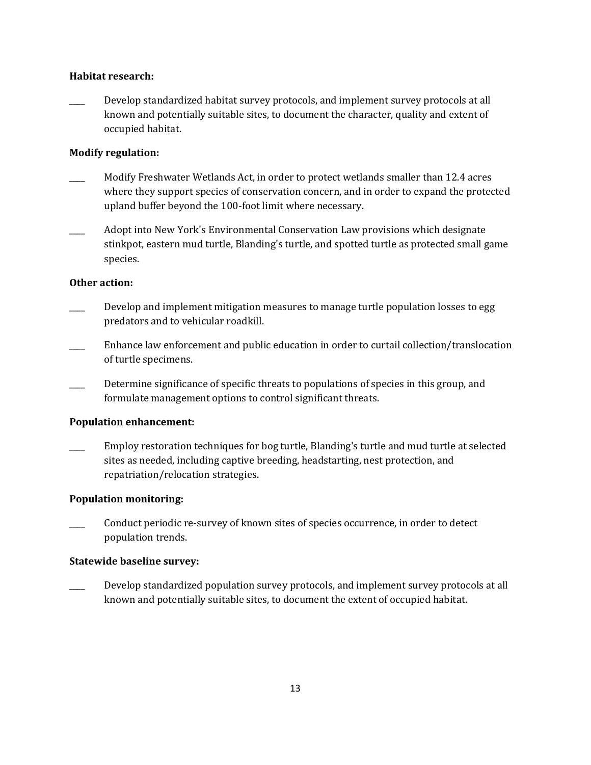### **Habitat research:**

Develop standardized habitat survey protocols, and implement survey protocols at all known and potentially suitable sites, to document the character, quality and extent of occupied habitat.

#### **Modify regulation:**

- \_\_\_\_ Modify Freshwater Wetlands Act, in order to protect wetlands smaller than 12.4 acres where they support species of conservation concern, and in order to expand the protected upland buffer beyond the 100-foot limit where necessary.
- \_\_\_\_ Adopt into New York's Environmental Conservation Law provisions which designate stinkpot, eastern mud turtle, Blanding's turtle, and spotted turtle as protected small game species.

#### **Other action:**

- Develop and implement mitigation measures to manage turtle population losses to egg predators and to vehicular roadkill.
- Enhance law enforcement and public education in order to curtail collection/translocation of turtle specimens.
- Determine significance of specific threats to populations of species in this group, and formulate management options to control significant threats.

## **Population enhancement:**

\_\_\_\_ Employ restoration techniques for bog turtle, Blanding's turtle and mud turtle at selected sites as needed, including captive breeding, headstarting, nest protection, and repatriation/relocation strategies.

## **Population monitoring:**

\_\_\_\_ Conduct periodic re-survey of known sites of species occurrence, in order to detect population trends.

#### **Statewide baseline survey:**

Develop standardized population survey protocols, and implement survey protocols at all known and potentially suitable sites, to document the extent of occupied habitat.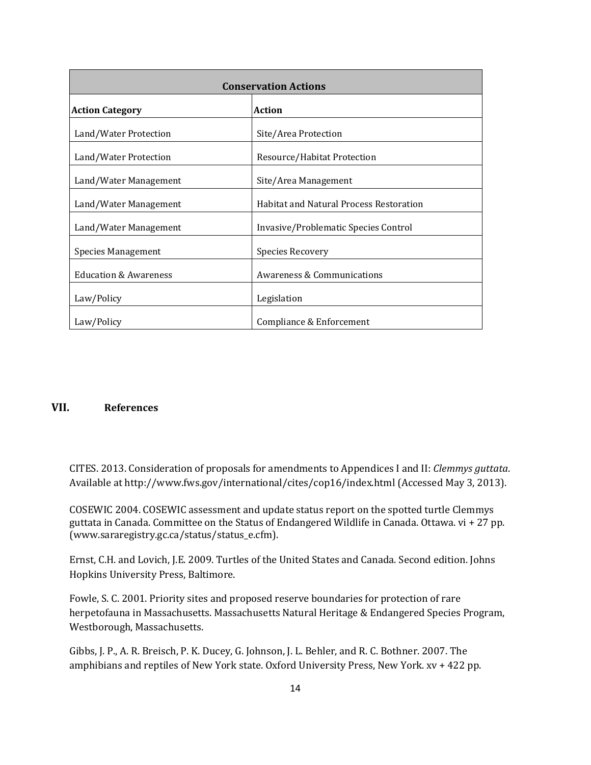| <b>Conservation Actions</b>      |                                                |  |
|----------------------------------|------------------------------------------------|--|
| <b>Action Category</b>           | <b>Action</b>                                  |  |
| Land/Water Protection            | Site/Area Protection                           |  |
| Land/Water Protection            | Resource/Habitat Protection                    |  |
| Land/Water Management            | Site/Area Management                           |  |
| Land/Water Management            | <b>Habitat and Natural Process Restoration</b> |  |
| Land/Water Management            | Invasive/Problematic Species Control           |  |
| Species Management               | <b>Species Recovery</b>                        |  |
| <b>Education &amp; Awareness</b> | Awareness & Communications                     |  |
| Law/Policy                       | Legislation                                    |  |
| Law/Policy                       | Compliance & Enforcement                       |  |

# **VII. References**

CITES. 2013. Consideration of proposals for amendments to Appendices I and II: *Clemmys guttata*. Available at http://www.fws.gov/international/cites/cop16/index.html (Accessed May 3, 2013).

COSEWIC 2004. COSEWIC assessment and update status report on the spotted turtle Clemmys guttata in Canada. Committee on the Status of Endangered Wildlife in Canada. Ottawa. vi + 27 pp. (www.sararegistry.gc.ca/status/status\_e.cfm).

Ernst, C.H. and Lovich, J.E. 2009. Turtles of the United States and Canada. Second edition. Johns Hopkins University Press, Baltimore.

Fowle, S. C. 2001. Priority sites and proposed reserve boundaries for protection of rare herpetofauna in Massachusetts. Massachusetts Natural Heritage & Endangered Species Program, Westborough, Massachusetts.

Gibbs, J. P., A. R. Breisch, P. K. Ducey, G. Johnson, J. L. Behler, and R. C. Bothner. 2007. The amphibians and reptiles of New York state. Oxford University Press, New York. xv + 422 pp.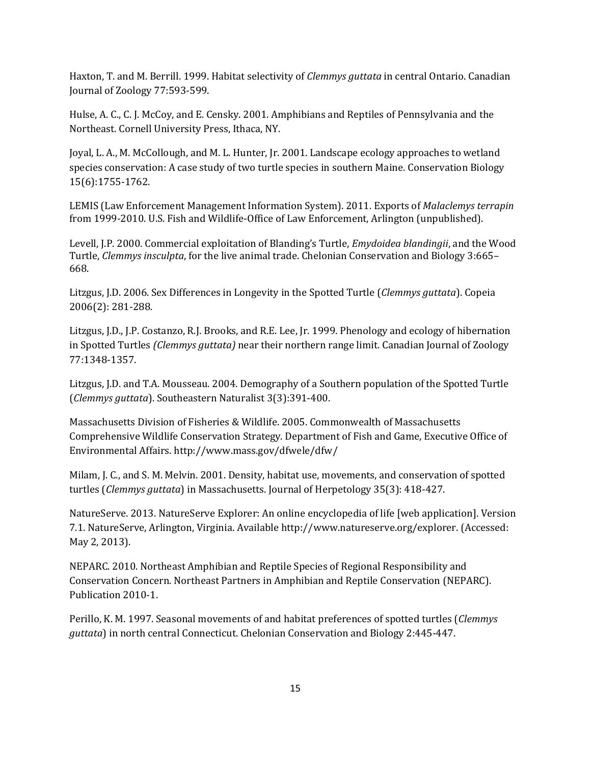Haxton, T. and M. Berrill. 1999. Habitat selectivity of *Clemmys guttata* in central Ontario. Canadian Journal of Zoology 77:593-599.

Hulse, A. C., C. J. McCoy, and E. Censky. 2001. Amphibians and Reptiles of Pennsylvania and the Northeast. Cornell University Press, Ithaca, NY.

Joyal, L. A., M. McCollough, and M. L. Hunter, Jr. 2001. Landscape ecology approaches to wetland species conservation: A case study of two turtle species in southern Maine. Conservation Biology 15(6):1755-1762.

LEMIS (Law Enforcement Management Information System). 2011. Exports of *Malaclemys terrapin*  from 1999-2010. U.S. Fish and Wildlife-Office of Law Enforcement, Arlington (unpublished).

Levell, J.P. 2000. Commercial exploitation of Blanding's Turtle, *Emydoidea blandingii*, and the Wood Turtle, *Clemmys insculpta*, for the live animal trade. Chelonian Conservation and Biology 3:665– 668.

Litzgus, J.D. 2006. Sex Differences in Longevity in the Spotted Turtle (*Clemmys guttata*). Copeia 2006(2): 281-288.

Litzgus, J.D., J.P. Costanzo, R.J. Brooks, and R.E. Lee, Jr. 1999. Phenology and ecology of hibernation in Spotted Turtles *(Clemmys guttata)* near their northern range limit. Canadian Journal of Zoology 77:1348-1357.

Litzgus, J.D. and T.A. Mousseau. 2004. Demography of a Southern population of the Spotted Turtle (*Clemmys guttata*). Southeastern Naturalist 3(3):391-400.

Massachusetts Division of Fisheries & Wildlife. 2005. Commonwealth of Massachusetts Comprehensive Wildlife Conservation Strategy. Department of Fish and Game, Executive Office of Environmental Affairs. http://www.mass.gov/dfwele/dfw/

Milam, J. C., and S. M. Melvin. 2001. Density, habitat use, movements, and conservation of spotted turtles (*Clemmys guttata*) in Massachusetts. Journal of Herpetology 35(3): 418-427.

NatureServe. 2013. NatureServe Explorer: An online encyclopedia of life [web application]. Version 7.1. NatureServe, Arlington, Virginia. Available http://www.natureserve.org/explorer. (Accessed: May 2, 2013).

NEPARC. 2010. Northeast Amphibian and Reptile Species of Regional Responsibility and Conservation Concern. Northeast Partners in Amphibian and Reptile Conservation (NEPARC). Publication 2010-1.

Perillo, K. M. 1997. Seasonal movements of and habitat preferences of spotted turtles (*Clemmys guttata*) in north central Connecticut. Chelonian Conservation and Biology 2:445-447.